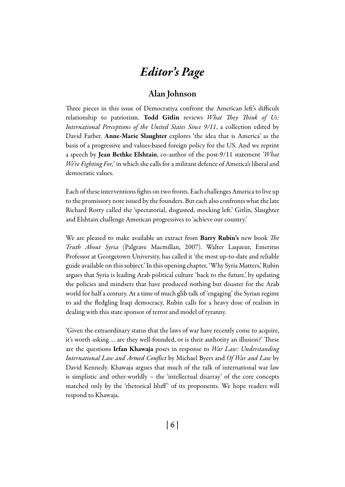# *Editor's Page*

## Alan Johnson

Three pieces in this issue of Democratiya confront the American left's difficult relationship to patriotism. Todd Gitlin reviews *What They Think of Us: International Perceptions of the United States Since 9/11*, a collection edited by David Farber. Anne-Marie Slaughter explores 'the idea that is America' as the basis of a progressive and values-based foreign policy for the US. And we reprint a speech by Jean Bethke Elshtain, co-author of the post-9/11 statement *'What We're Fighting For,*' in which she calls for a militant defence of America's liberal and democratic values.

Each of these interventions fights on two fronts. Each challenges America to live up to the promissory note issued by the founders. But each also confronts what the late Richard Rorty called the 'spectatorial, disgusted, mocking left.' Gitlin, Slaughter and Elshtain challenge American progressives to 'achieve our country.'

We are pleased to make available an extract from Barry Rubin's new book *The Truth About Syria* (Palgrave Macmillan, 2007). Walter Laqueur, Emeritus Professor at Georgetown University, has called it 'the most up-to-date and reliable guide available on this subject.' In this opening chapter, 'Why Syria Matters,' Rubin argues that Syria is leading Arab political culture 'back to the future,' by updating the policies and mindsets that have produced nothing but disaster for the Arab world for half a century. At a time of much glib talk of 'engaging' the Syrian regime to aid the fledgling Iraqi democracy, Rubin calls for a heavy dose of realism in dealing with this state sponsor of terror and model of tyranny.

'Given the extraordinary status that the laws of war have recently come to acquire, it's worth asking … are they well-founded, or is their authority an illusion?' These are the questions Irfan Khawaja poses in response to *War Law: Understanding International Law and Armed Conflict* by Michael Byers and *Of War and Law* by David Kennedy. Khawaja argues that much of the talk of international war law is simplistic and other-worldly – the 'intellectual disarray' of the core concepts matched only by the 'rhetorical bluff' of its proponents. We hope readers will respond to Khawaja.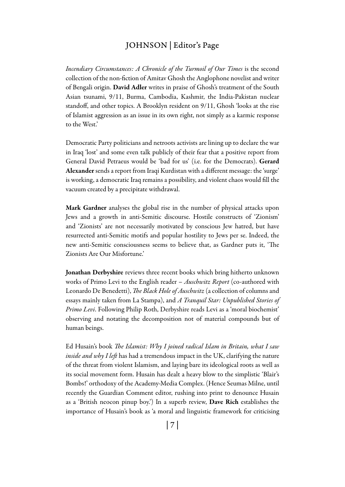#### Johnson | Editor's Page

*Incendiary Circumstances: A Chronicle of the Turmoil of Our Times* is the second collection of the non-fiction of Amitav Ghosh the Anglophone novelist and writer of Bengali origin. David Adler writes in praise of Ghosh's treatment of the South Asian tsunami, 9/11, Burma, Cambodia, Kashmir, the India-Pakistan nuclear standoff, and other topics. A Brooklyn resident on 9/11, Ghosh 'looks at the rise of Islamist aggression as an issue in its own right, not simply as a karmic response to the West.'

Democratic Party politicians and netroots activists are lining up to declare the war in Iraq 'lost' and some even talk publicly of their fear that a positive report from General David Petraeus would be 'bad for us' (i.e. for the Democrats). Gerard Alexander sends a report from Iraqi Kurdistan with a different message: the 'surge' is working, a democratic Iraq remains a possibility, and violent chaos would fill the vacuum created by a precipitate withdrawal.

Mark Gardner analyses the global rise in the number of physical attacks upon Jews and a growth in anti-Semitic discourse. Hostile constructs of 'Zionism' and 'Zionists' are not necessarily motivated by conscious Jew hatred, but have resurrected anti-Semitic motifs and popular hostility to Jews per se. Indeed, the new anti-Semitic consciousness seems to believe that, as Gardner puts it, 'The Zionists Are Our Misfortune.'

Jonathan Derbyshire reviews three recent books which bring hitherto unknown works of Primo Levi to the English reader – *Auschwitz Report* (co-authored with Leonardo De Benedetti), *The Black Hole of Auschwitz* (a collection of columns and essays mainly taken from La Stampa), and *A Tranquil Star: Unpublished Stories of Primo Levi*. Following Philip Roth, Derbyshire reads Levi as a 'moral biochemist' observing and notating the decomposition not of material compounds but of human beings.

Ed Husain's book *The Islamist: Why I joined radical Islam in Britain, what I saw inside and why I left* has had a tremendous impact in the UK, clarifying the nature of the threat from violent Islamism, and laying bare its ideological roots as well as its social movement form. Husain has dealt a heavy blow to the simplistic 'Blair's Bombs!' orthodoxy of the Academy-Media Complex. (Hence Seumas Milne, until recently the Guardian Comment editor, rushing into print to denounce Husain as a 'British neocon pinup boy.') In a superb review, Dave Rich establishes the importance of Husain's book as 'a moral and linguistic framework for criticising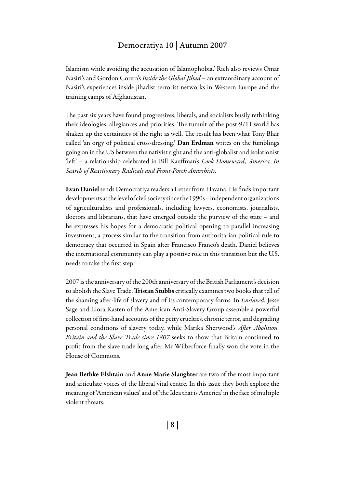#### Democratiya 10 | Autumn 2007

Islamism while avoiding the accusation of Islamophobia.' Rich also reviews Omar Nasiri's and Gordon Corera's *Inside the Global Jihad* – an extraordinary account of Nasiri's experiences inside jihadist terrorist networks in Western Europe and the training camps of Afghanistan.

The past six years have found progressives, liberals, and socialists busily rethinking their ideologies, allegiances and priorities. The tumult of the post-9/11 world has shaken up the certainties of the right as well. The result has been what Tony Blair called 'an orgy of political cross-dressing.' Dan Erdman writes on the fumblings going on in the US between the nativist right and the anti-globalist and isolationist 'left' – a relationship celebrated in Bill Kauffman's *Look Homeward, America. In Search of Reactionary Radicals and Front-Porch Anarchists*.

Evan Daniel sends Democratiya readers a Letter from Havana. He finds important developments at the level of civil society since the 1990s – independent organizations of agriculturalists and professionals, including lawyers, economists, journalists, doctors and librarians, that have emerged outside the purview of the state – and he expresses his hopes for a democratic political opening to parallel increasing investment, a process similar to the transition from authoritarian political rule to democracy that occurred in Spain after Francisco Franco's death. Daniel believes the international community can play a positive role in this transition but the U.S. needs to take the first step.

2007 is the anniversary of the 200th anniversary of the British Parliament's decision to abolish the Slave Trade. Tristan Stubbs critically examines two books that tell of the shaming after-life of slavery and of its contemporary forms. In *Enslaved*, Jesse Sage and Liora Kasten of the American Anti-Slavery Group assemble a powerful collection of first-hand accounts of the petty cruelties, chronic terror, and degrading personal conditions of slavery today, while Marika Sherwood's *After Abolition. Britain and the Slave Trade since 1807* seeks to show that Britain continued to profit from the slave trade long after Mr Wilberforce finally won the vote in the House of Commons.

Jean Bethke Elshtain and Anne Marie Slaughter are two of the most important and articulate voices of the liberal vital centre. In this issue they both explore the meaning of 'American values' and of 'the Idea that is America' in the face of multiple violent threats.